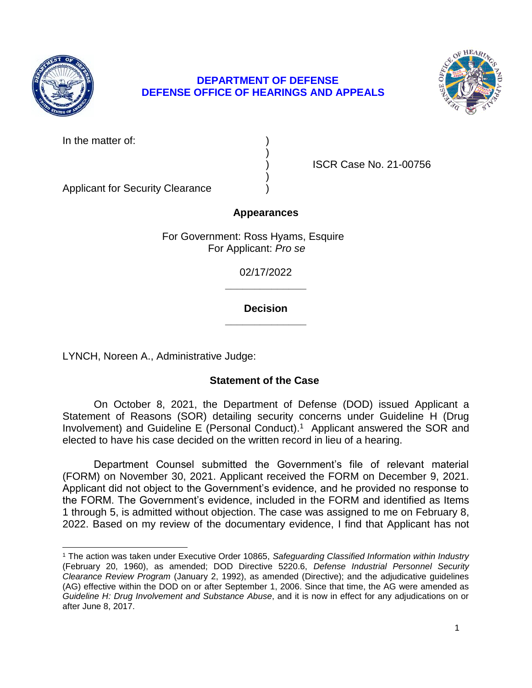

 $\overline{\phantom{a}}$ 

# **DEPARTMENT OF DEFENSE DEFENSE OFFICE OF HEARINGS AND APPEALS**



In the matter of:

) )

) ISCR Case No. 21-00756

Applicant for Security Clearance )

# **Appearances**

 For Government: Ross Hyams, Esquire For Applicant: *Pro se* 

> 02/17/2022 **\_\_\_\_\_\_\_\_\_\_\_\_\_\_**

### **\_\_\_\_\_\_\_\_\_\_\_\_\_\_ Decision**

LYNCH, Noreen A., Administrative Judge:

# **Statement of the Case**

 Statement of Reasons (SOR) detailing security concerns under Guideline H (Drug Involvement) and Guideline E (Personal Conduct). 1 Applicant answered the SOR and elected to have his case decided on the written record in lieu of a hearing. On October 8, 2021, the Department of Defense (DOD) issued Applicant a

Department Counsel submitted the Government's file of relevant material (FORM) on November 30, 2021. Applicant received the FORM on December 9, 2021. Applicant did not object to the Government's evidence, and he provided no response to the FORM. The Government's evidence, included in the FORM and identified as Items 1 through 5, is admitted without objection. The case was assigned to me on February 8, 2022. Based on my review of the documentary evidence, I find that Applicant has not

 <sup>1</sup> The action was taken under Executive Order 10865, *Safeguarding Classified Information within Industry*  (February 20, 1960), as amended; DOD Directive 5220.6, *Defense Industrial Personnel Security Clearance Review Program* (January 2, 1992), as amended (Directive); and the adjudicative guidelines  *Guideline H: Drug Involvement and Substance Abuse*, and it is now in effect for any adjudications on or (AG) effective within the DOD on or after September 1, 2006. Since that time, the AG were amended as after June 8, 2017.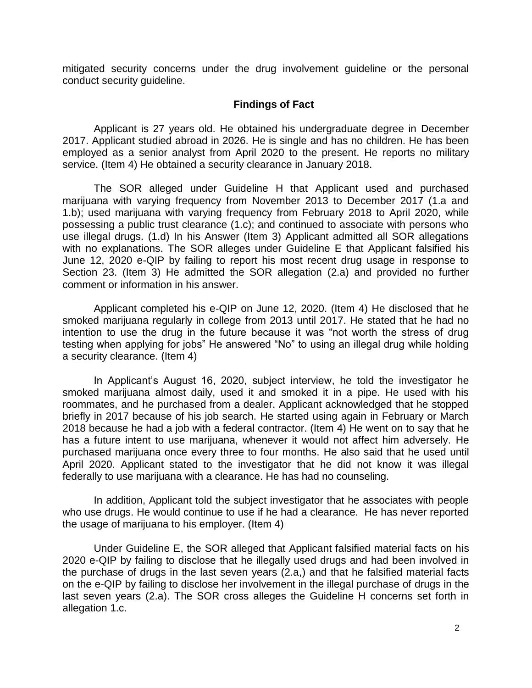mitigated security concerns under the drug involvement guideline or the personal conduct security guideline.

#### **Findings of Fact**

 Applicant is 27 years old. He obtained his undergraduate degree in December 2017. Applicant studied abroad in 2026. He is single and has no children. He has been employed as a senior analyst from April 2020 to the present. He reports no military service. (Item 4) He obtained a security clearance in January 2018.

 The SOR alleged under Guideline H that Applicant used and purchased marijuana with varying frequency from November 2013 to December 2017 (1.a and 1.b); used marijuana with varying frequency from February 2018 to April 2020, while possessing a public trust clearance (1.c); and continued to associate with persons who use illegal drugs. (1.d) In his Answer (Item 3) Applicant admitted all SOR allegations with no explanations. The SOR alleges under Guideline E that Applicant falsified his June 12, 2020 e-QIP by failing to report his most recent drug usage in response to Section 23. (Item 3) He admitted the SOR allegation (2.a) and provided no further comment or information in his answer.

 Applicant completed his e-QIP on June 12, 2020. (Item 4) He disclosed that he smoked marijuana regularly in college from 2013 until 2017. He stated that he had no intention to use the drug in the future because it was "not worth the stress of drug testing when applying for jobs" He answered "No" to using an illegal drug while holding a security clearance. (Item 4)

 In Applicant's August 16, 2020, subject interview, he told the investigator he smoked marijuana almost daily, used it and smoked it in a pipe. He used with his roommates, and he purchased from a dealer. Applicant acknowledged that he stopped briefly in 2017 because of his job search. He started using again in February or March 2018 because he had a job with a federal contractor. (Item 4) He went on to say that he has a future intent to use marijuana, whenever it would not affect him adversely. He purchased marijuana once every three to four months. He also said that he used until April 2020. Applicant stated to the investigator that he did not know it was illegal federally to use marijuana with a clearance. He has had no counseling.

 In addition, Applicant told the subject investigator that he associates with people who use drugs. He would continue to use if he had a clearance. He has never reported the usage of marijuana to his employer. (Item 4)

 2020 e-QIP by failing to disclose that he illegally used drugs and had been involved in the purchase of drugs in the last seven years (2.a,) and that he falsified material facts on the e-QIP by failing to disclose her involvement in the illegal purchase of drugs in the last seven years (2.a). The SOR cross alleges the Guideline H concerns set forth in Under Guideline E, the SOR alleged that Applicant falsified material facts on his allegation 1.c.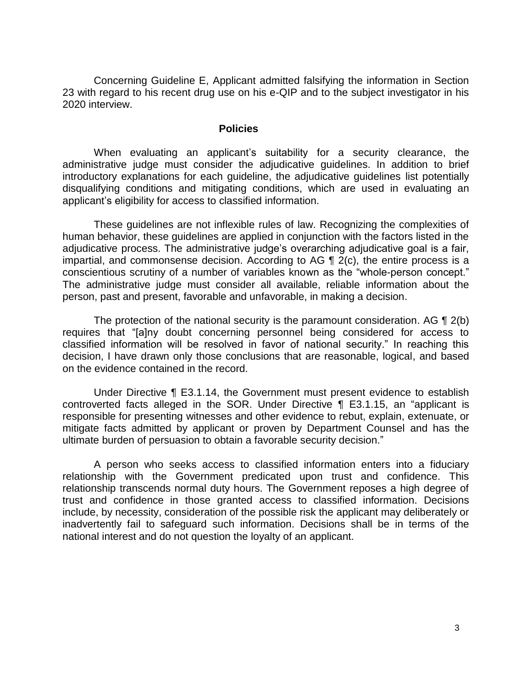Concerning Guideline E, Applicant admitted falsifying the information in Section 23 with regard to his recent drug use on his e-QIP and to the subject investigator in his 2020 interview.

#### **Policies**

 administrative judge must consider the adjudicative guidelines. In addition to brief introductory explanations for each guideline, the adjudicative guidelines list potentially disqualifying conditions and mitigating conditions, which are used in evaluating an When evaluating an applicant's suitability for a security clearance, the applicant's eligibility for access to classified information.

 These guidelines are not inflexible rules of law. Recognizing the complexities of human behavior, these guidelines are applied in conjunction with the factors listed in the adjudicative process. The administrative judge's overarching adjudicative goal is a fair, impartial, and commonsense decision. According to AG  $\P$  2(c), the entire process is a conscientious scrutiny of a number of variables known as the "whole-person concept." The administrative judge must consider all available, reliable information about the person, past and present, favorable and unfavorable, in making a decision.

The protection of the national security is the paramount consideration. AG  $\P$  2(b) classified information will be resolved in favor of national security." In reaching this decision, I have drawn only those conclusions that are reasonable, logical, and based requires that "[a]ny doubt concerning personnel being considered for access to on the evidence contained in the record.

 Under Directive ¶ E3.1.14, the Government must present evidence to establish controverted facts alleged in the SOR. Under Directive ¶ E3.1.15, an "applicant is responsible for presenting witnesses and other evidence to rebut, explain, extenuate, or mitigate facts admitted by applicant or proven by Department Counsel and has the ultimate burden of persuasion to obtain a favorable security decision."

 A person who seeks access to classified information enters into a fiduciary relationship with the Government predicated upon trust and confidence. This relationship transcends normal duty hours. The Government reposes a high degree of trust and confidence in those granted access to classified information. Decisions inadvertently fail to safeguard such information. Decisions shall be in terms of the national interest and do not question the loyalty of an applicant. include, by necessity, consideration of the possible risk the applicant may deliberately or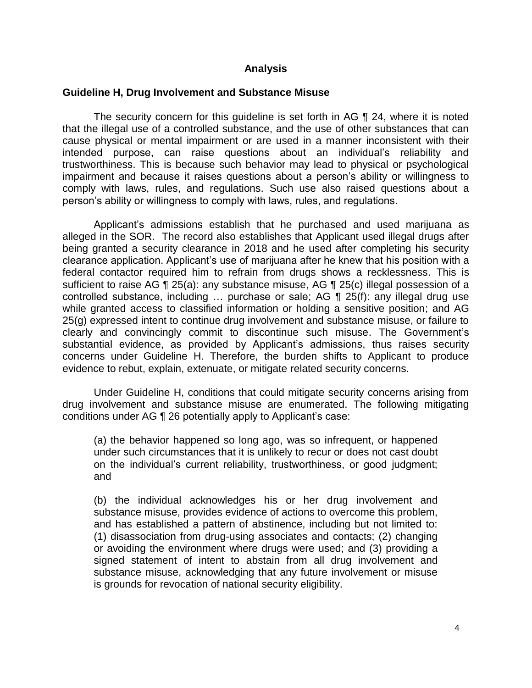#### **Analysis**

#### **Guideline H, Drug Involvement and Substance Misuse**

 The security concern for this guideline is set forth in AG ¶ 24, where it is noted that the illegal use of a controlled substance, and the use of other substances that can cause physical or mental impairment or are used in a manner inconsistent with their intended purpose, can raise questions about an individual's reliability and trustworthiness. This is because such behavior may lead to physical or psychological impairment and because it raises questions about a person's ability or willingness to comply with laws, rules, and regulations. Such use also raised questions about a person's ability or willingness to comply with laws, rules, and regulations.

 Applicant's admissions establish that he purchased and used marijuana as alleged in the SOR. The record also establishes that Applicant used illegal drugs after being granted a security clearance in 2018 and he used after completing his security clearance application. Applicant's use of marijuana after he knew that his position with a federal contactor required him to refrain from drugs shows a recklessness. This is sufficient to raise AG ¶ 25(a): any substance misuse, AG ¶ 25(c) illegal possession of a controlled substance, including … purchase or sale; AG ¶ 25(f): any illegal drug use while granted access to classified information or holding a sensitive position; and AG 25(g) expressed intent to continue drug involvement and substance misuse, or failure to clearly and convincingly commit to discontinue such misuse. The Government's substantial evidence, as provided by Applicant's admissions, thus raises security concerns under Guideline H. Therefore, the burden shifts to Applicant to produce evidence to rebut, explain, extenuate, or mitigate related security concerns.

 Under Guideline H, conditions that could mitigate security concerns arising from drug involvement and substance misuse are enumerated. The following mitigating conditions under AG ¶ 26 potentially apply to Applicant's case:

(a) the behavior happened so long ago, was so infrequent, or happened under such circumstances that it is unlikely to recur or does not cast doubt on the individual's current reliability, trustworthiness, or good judgment; and

(b) the individual acknowledges his or her drug involvement and substance misuse, provides evidence of actions to overcome this problem, and has established a pattern of abstinence, including but not limited to: (1) disassociation from drug-using associates and contacts; (2) changing or avoiding the environment where drugs were used; and (3) providing a signed statement of intent to abstain from all drug involvement and substance misuse, acknowledging that any future involvement or misuse is grounds for revocation of national security eligibility.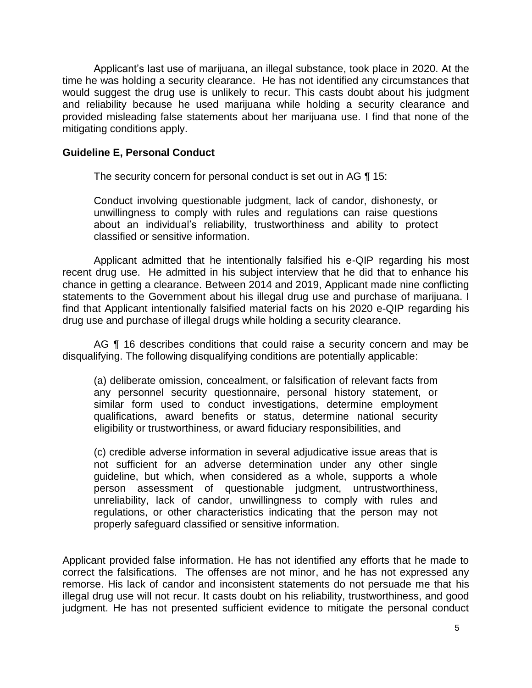Applicant's last use of marijuana, an illegal substance, took place in 2020. At the time he was holding a security clearance. He has not identified any circumstances that would suggest the drug use is unlikely to recur. This casts doubt about his judgment and reliability because he used marijuana while holding a security clearance and provided misleading false statements about her marijuana use. I find that none of the mitigating conditions apply.

### **Guideline E, Personal Conduct**

The security concern for personal conduct is set out in AG ¶ 15:

Conduct involving questionable judgment, lack of candor, dishonesty, or unwillingness to comply with rules and regulations can raise questions about an individual's reliability, trustworthiness and ability to protect classified or sensitive information.

 Applicant admitted that he intentionally falsified his e-QIP regarding his most recent drug use. He admitted in his subject interview that he did that to enhance his chance in getting a clearance. Between 2014 and 2019, Applicant made nine conflicting statements to the Government about his illegal drug use and purchase of marijuana. I find that Applicant intentionally falsified material facts on his 2020 e-QIP regarding his drug use and purchase of illegal drugs while holding a security clearance.

AG ¶ 16 describes conditions that could raise a security concern and may be disqualifying. The following disqualifying conditions are potentially applicable:

(a) deliberate omission, concealment, or falsification of relevant facts from any personnel security questionnaire, personal history statement, or similar form used to conduct investigations, determine employment qualifications, award benefits or status, determine national security eligibility or trustworthiness, or award fiduciary responsibilities, and

(c) credible adverse information in several adjudicative issue areas that is not sufficient for an adverse determination under any other single guideline, but which, when considered as a whole, supports a whole person assessment of questionable judgment, untrustworthiness, unreliability, lack of candor, unwillingness to comply with rules and regulations, or other characteristics indicating that the person may not properly safeguard classified or sensitive information.

 Applicant provided false information. He has not identified any efforts that he made to correct the falsifications. The offenses are not minor, and he has not expressed any remorse. His lack of candor and inconsistent statements do not persuade me that his illegal drug use will not recur. It casts doubt on his reliability, trustworthiness, and good judgment. He has not presented sufficient evidence to mitigate the personal conduct